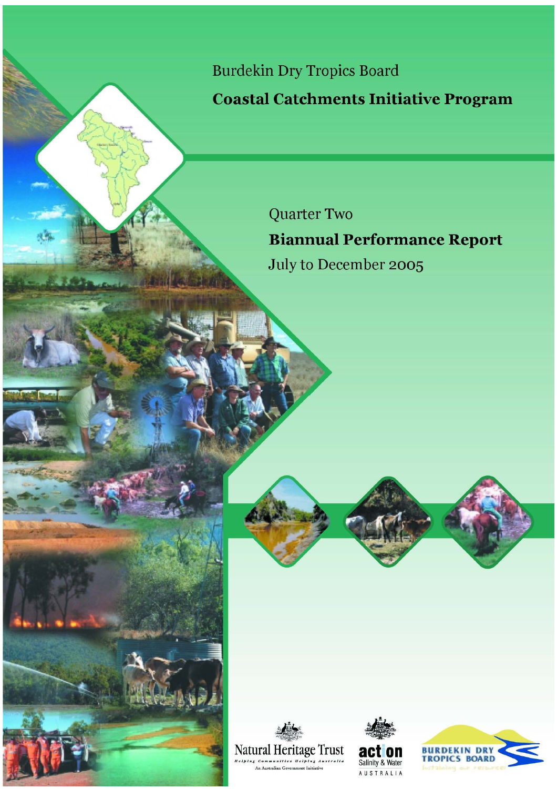**Burdekin Dry Tropics Board** 

**Coastal Catchments Initiative Program** 

**Quarter Two Biannual Performance Report** July to December 2005





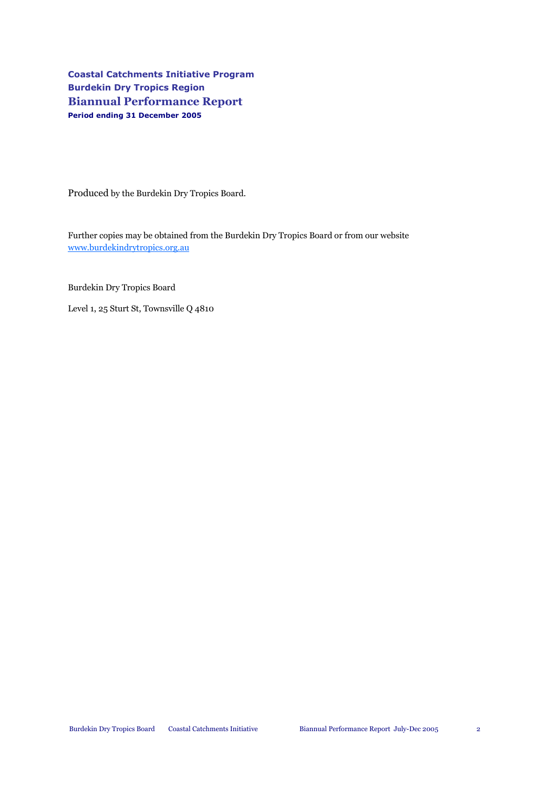Coastal Catchments Initiative Program Burdekin Dry Tropics Region Biannual Performance Report Period ending 31 December 2005

Produced by the Burdekin Dry Tropics Board.

Further copies may be obtained from the Burdekin Dry Tropics Board or from our website www.burdekindrytropics.org.au

Burdekin Dry Tropics Board

Level 1, 25 Sturt St, Townsville Q 4810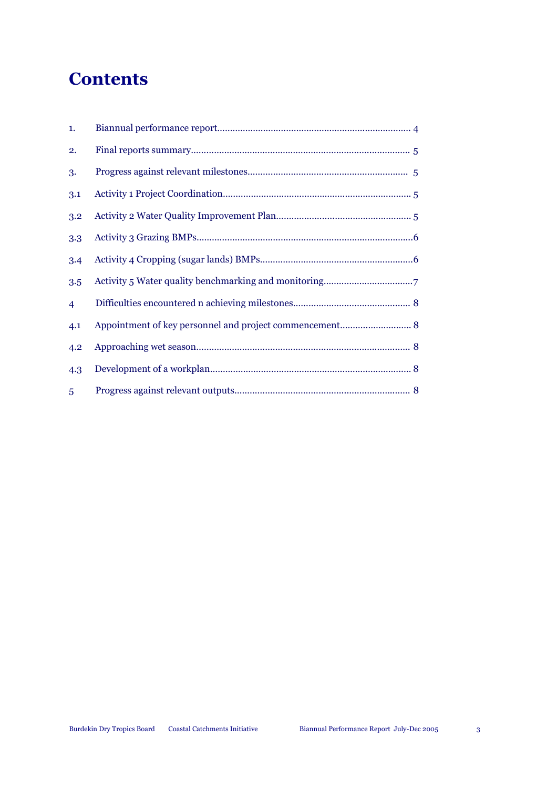# **Contents**

| 1.             |                                                                                                                                                                                                                                                                                                                                                                                                                                             |
|----------------|---------------------------------------------------------------------------------------------------------------------------------------------------------------------------------------------------------------------------------------------------------------------------------------------------------------------------------------------------------------------------------------------------------------------------------------------|
| 2.             |                                                                                                                                                                                                                                                                                                                                                                                                                                             |
| 3.             |                                                                                                                                                                                                                                                                                                                                                                                                                                             |
| 3.1            |                                                                                                                                                                                                                                                                                                                                                                                                                                             |
| 3.2            |                                                                                                                                                                                                                                                                                                                                                                                                                                             |
| 3.3            |                                                                                                                                                                                                                                                                                                                                                                                                                                             |
| 3.4            |                                                                                                                                                                                                                                                                                                                                                                                                                                             |
| 3.5            |                                                                                                                                                                                                                                                                                                                                                                                                                                             |
| $\overline{4}$ |                                                                                                                                                                                                                                                                                                                                                                                                                                             |
| 4.1            | Appointment of key personnel and project commencement 8                                                                                                                                                                                                                                                                                                                                                                                     |
| 4.2            |                                                                                                                                                                                                                                                                                                                                                                                                                                             |
| 4.3            | $\label{eq:1} \textbf{Development of a workplan}.\textcolor{blue}{\textbf{1:}\textbf{1:}\textbf{1:}\textbf{1:}\textbf{1:}\textbf{1:}\textbf{1:}\textbf{1:}\textbf{1:}\textbf{1:}\textbf{1:}\textbf{1:}\textbf{1:}\textbf{1:}\textbf{1:}\textbf{1:}\textbf{1:}\textbf{1:}\textbf{1:}\textbf{1:}\textbf{1:}\textbf{1:}\textbf{1:}\textbf{1:}\textbf{1:}\textbf{1:}\textbf{1:}\textbf{1:}\textbf{1:}\textbf{1:}\textbf{1:}\textbf{1:}\textbf{$ |
| 5              |                                                                                                                                                                                                                                                                                                                                                                                                                                             |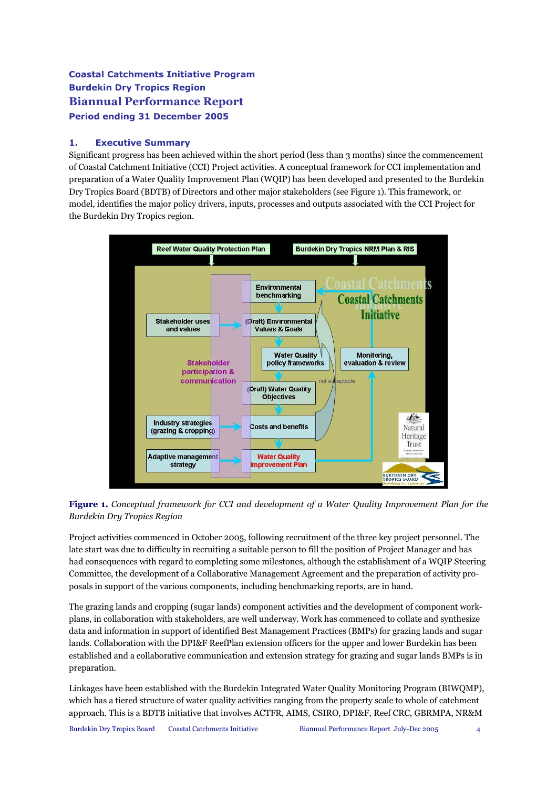# Coastal Catchments Initiative Program Burdekin Dry Tropics Region Biannual Performance Report Period ending 31 December 2005

### 1. Executive Summary

Significant progress has been achieved within the short period (less than 3 months) since the commencement of Coastal Catchment Initiative (CCI) Project activities. A conceptual framework for CCI implementation and preparation of a Water Quality Improvement Plan (WQIP) has been developed and presented to the Burdekin Dry Tropics Board (BDTB) of Directors and other major stakeholders (see Figure 1). This framework, or model, identifies the major policy drivers, inputs, processes and outputs associated with the CCI Project for the Burdekin Dry Tropics region.



Figure 1. Conceptual framework for CCI and development of a Water Quality Improvement Plan for the Burdekin Dry Tropics Region

Project activities commenced in October 2005, following recruitment of the three key project personnel. The late start was due to difficulty in recruiting a suitable person to fill the position of Project Manager and has had consequences with regard to completing some milestones, although the establishment of a WQIP Steering Committee, the development of a Collaborative Management Agreement and the preparation of activity proposals in support of the various components, including benchmarking reports, are in hand.

The grazing lands and cropping (sugar lands) component activities and the development of component workplans, in collaboration with stakeholders, are well underway. Work has commenced to collate and synthesize data and information in support of identified Best Management Practices (BMPs) for grazing lands and sugar lands. Collaboration with the DPI&F ReefPlan extension officers for the upper and lower Burdekin has been established and a collaborative communication and extension strategy for grazing and sugar lands BMPs is in preparation.

Linkages have been established with the Burdekin Integrated Water Quality Monitoring Program (BIWQMP), which has a tiered structure of water quality activities ranging from the property scale to whole of catchment approach. This is a BDTB initiative that involves ACTFR, AIMS, CSIRO, DPI&F, Reef CRC, GBRMPA, NR&M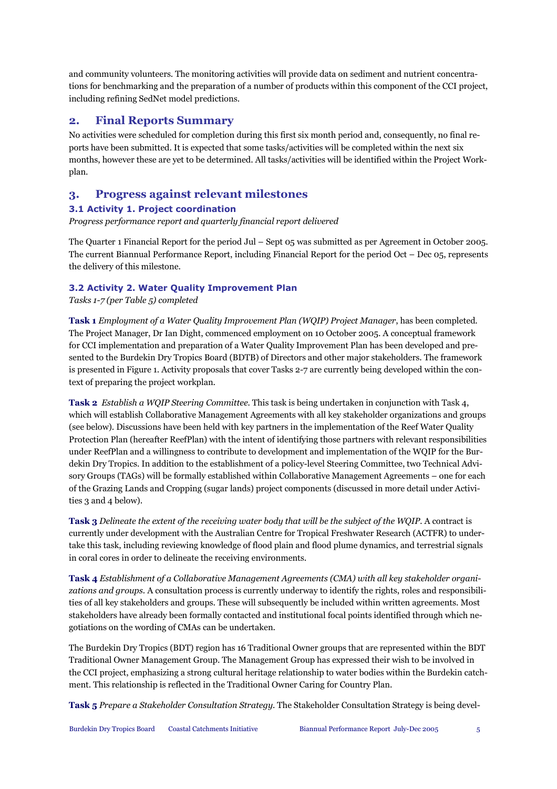and community volunteers. The monitoring activities will provide data on sediment and nutrient concentrations for benchmarking and the preparation of a number of products within this component of the CCI project, including refining SedNet model predictions.

# 2. Final Reports Summary

No activities were scheduled for completion during this first six month period and, consequently, no final reports have been submitted. It is expected that some tasks/activities will be completed within the next six months, however these are yet to be determined. All tasks/activities will be identified within the Project Workplan.

# 3. Progress against relevant milestones

## 3.1 Activity 1. Project coordination

Progress performance report and quarterly financial report delivered

The Quarter 1 Financial Report for the period Jul – Sept 05 was submitted as per Agreement in October 2005. The current Biannual Performance Report, including Financial Report for the period Oct – Dec 05, represents the delivery of this milestone.

## 3.2 Activity 2. Water Quality Improvement Plan

Tasks 1-7 (per Table 5) completed

Task 1 Employment of a Water Quality Improvement Plan (WQIP) Project Manager, has been completed. The Project Manager, Dr Ian Dight, commenced employment on 10 October 2005. A conceptual framework for CCI implementation and preparation of a Water Quality Improvement Plan has been developed and presented to the Burdekin Dry Tropics Board (BDTB) of Directors and other major stakeholders. The framework is presented in Figure 1. Activity proposals that cover Tasks 2-7 are currently being developed within the context of preparing the project workplan.

Task 2 Establish a WQIP Steering Committee. This task is being undertaken in conjunction with Task 4, which will establish Collaborative Management Agreements with all key stakeholder organizations and groups (see below). Discussions have been held with key partners in the implementation of the Reef Water Quality Protection Plan (hereafter ReefPlan) with the intent of identifying those partners with relevant responsibilities under ReefPlan and a willingness to contribute to development and implementation of the WQIP for the Burdekin Dry Tropics. In addition to the establishment of a policy-level Steering Committee, two Technical Advisory Groups (TAGs) will be formally established within Collaborative Management Agreements – one for each of the Grazing Lands and Cropping (sugar lands) project components (discussed in more detail under Activities 3 and 4 below).

Task 3 Delineate the extent of the receiving water body that will be the subject of the WQIP. A contract is currently under development with the Australian Centre for Tropical Freshwater Research (ACTFR) to undertake this task, including reviewing knowledge of flood plain and flood plume dynamics, and terrestrial signals in coral cores in order to delineate the receiving environments.

Task 4 Establishment of a Collaborative Management Agreements (CMA) with all key stakeholder organizations and groups. A consultation process is currently underway to identify the rights, roles and responsibilities of all key stakeholders and groups. These will subsequently be included within written agreements. Most stakeholders have already been formally contacted and institutional focal points identified through which negotiations on the wording of CMAs can be undertaken.

The Burdekin Dry Tropics (BDT) region has 16 Traditional Owner groups that are represented within the BDT Traditional Owner Management Group. The Management Group has expressed their wish to be involved in the CCI project, emphasizing a strong cultural heritage relationship to water bodies within the Burdekin catchment. This relationship is reflected in the Traditional Owner Caring for Country Plan.

Task 5 Prepare a Stakeholder Consultation Strategy. The Stakeholder Consultation Strategy is being devel-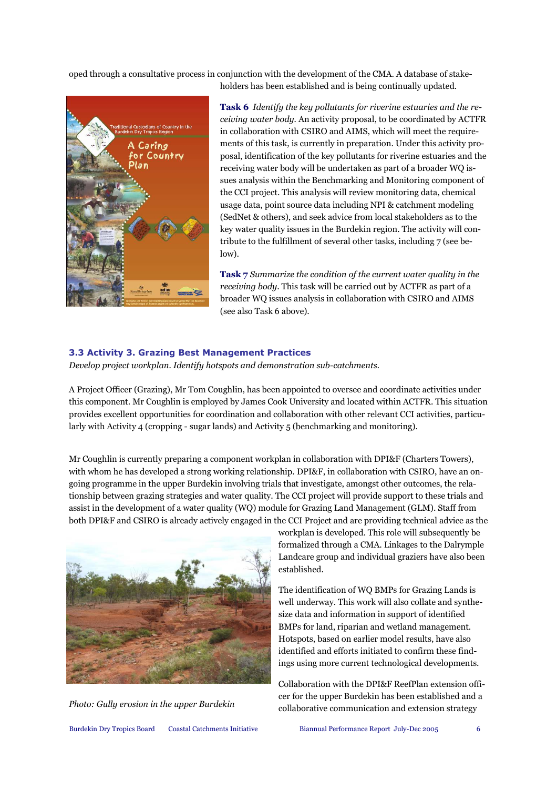oped through a consultative process in conjunction with the development of the CMA. A database of stake-



Task 6 Identify the key pollutants for riverine estuaries and the receiving water body. An activity proposal, to be coordinated by ACTFR in collaboration with CSIRO and AIMS, which will meet the requirements of this task, is currently in preparation. Under this activity proposal, identification of the key pollutants for riverine estuaries and the receiving water body will be undertaken as part of a broader WQ issues analysis within the Benchmarking and Monitoring component of the CCI project. This analysis will review monitoring data, chemical usage data, point source data including NPI & catchment modeling (SedNet & others), and seek advice from local stakeholders as to the key water quality issues in the Burdekin region. The activity will contribute to the fulfillment of several other tasks, including 7 (see below).

holders has been established and is being continually updated.

Task 7 Summarize the condition of the current water quality in the receiving body. This task will be carried out by ACTFR as part of a broader WQ issues analysis in collaboration with CSIRO and AIMS (see also Task 6 above).

#### 3.3 Activity 3. Grazing Best Management Practices

Develop project workplan. Identify hotspots and demonstration sub-catchments.

A Project Officer (Grazing), Mr Tom Coughlin, has been appointed to oversee and coordinate activities under this component. Mr Coughlin is employed by James Cook University and located within ACTFR. This situation provides excellent opportunities for coordination and collaboration with other relevant CCI activities, particularly with Activity 4 (cropping - sugar lands) and Activity 5 (benchmarking and monitoring).

Mr Coughlin is currently preparing a component workplan in collaboration with DPI&F (Charters Towers), with whom he has developed a strong working relationship. DPI&F, in collaboration with CSIRO, have an ongoing programme in the upper Burdekin involving trials that investigate, amongst other outcomes, the relationship between grazing strategies and water quality. The CCI project will provide support to these trials and assist in the development of a water quality (WQ) module for Grazing Land Management (GLM). Staff from both DPI&F and CSIRO is already actively engaged in the CCI Project and are providing technical advice as the



workplan is developed. This role will subsequently be formalized through a CMA. Linkages to the Dalrymple Landcare group and individual graziers have also been established.

The identification of WQ BMPs for Grazing Lands is well underway. This work will also collate and synthesize data and information in support of identified BMPs for land, riparian and wetland management. Hotspots, based on earlier model results, have also identified and efforts initiated to confirm these findings using more current technological developments.

Collaboration with the DPI&F ReefPlan extension officer for the upper Burdekin has been established and a Photo: Gully erosion in the upper Burdekin collaborative communication and extension strategy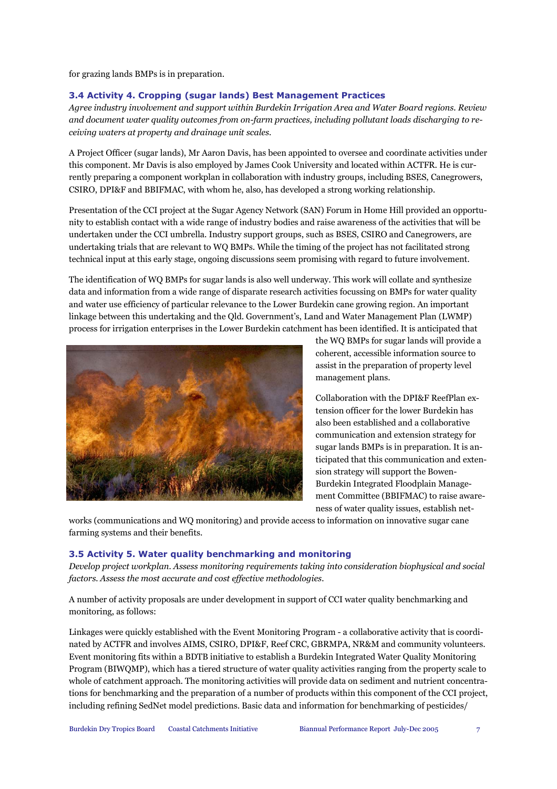for grazing lands BMPs is in preparation.

#### 3.4 Activity 4. Cropping (sugar lands) Best Management Practices

Agree industry involvement and support within Burdekin Irrigation Area and Water Board regions. Review and document water quality outcomes from on-farm practices, including pollutant loads discharging to receiving waters at property and drainage unit scales.

A Project Officer (sugar lands), Mr Aaron Davis, has been appointed to oversee and coordinate activities under this component. Mr Davis is also employed by James Cook University and located within ACTFR. He is currently preparing a component workplan in collaboration with industry groups, including BSES, Canegrowers, CSIRO, DPI&F and BBIFMAC, with whom he, also, has developed a strong working relationship.

Presentation of the CCI project at the Sugar Agency Network (SAN) Forum in Home Hill provided an opportunity to establish contact with a wide range of industry bodies and raise awareness of the activities that will be undertaken under the CCI umbrella. Industry support groups, such as BSES, CSIRO and Canegrowers, are undertaking trials that are relevant to WQ BMPs. While the timing of the project has not facilitated strong technical input at this early stage, ongoing discussions seem promising with regard to future involvement.

The identification of WQ BMPs for sugar lands is also well underway. This work will collate and synthesize data and information from a wide range of disparate research activities focussing on BMPs for water quality and water use efficiency of particular relevance to the Lower Burdekin cane growing region. An important linkage between this undertaking and the Qld. Government's, Land and Water Management Plan (LWMP) process for irrigation enterprises in the Lower Burdekin catchment has been identified. It is anticipated that



the WQ BMPs for sugar lands will provide a coherent, accessible information source to assist in the preparation of property level management plans.

Collaboration with the DPI&F ReefPlan extension officer for the lower Burdekin has also been established and a collaborative communication and extension strategy for sugar lands BMPs is in preparation. It is anticipated that this communication and extension strategy will support the Bowen-Burdekin Integrated Floodplain Management Committee (BBIFMAC) to raise awareness of water quality issues, establish net-

works (communications and WQ monitoring) and provide access to information on innovative sugar cane farming systems and their benefits.

#### 3.5 Activity 5. Water quality benchmarking and monitoring

Develop project workplan. Assess monitoring requirements taking into consideration biophysical and social factors. Assess the most accurate and cost effective methodologies.

A number of activity proposals are under development in support of CCI water quality benchmarking and monitoring, as follows:

Linkages were quickly established with the Event Monitoring Program - a collaborative activity that is coordinated by ACTFR and involves AIMS, CSIRO, DPI&F, Reef CRC, GBRMPA, NR&M and community volunteers. Event monitoring fits within a BDTB initiative to establish a Burdekin Integrated Water Quality Monitoring Program (BIWQMP), which has a tiered structure of water quality activities ranging from the property scale to whole of catchment approach. The monitoring activities will provide data on sediment and nutrient concentrations for benchmarking and the preparation of a number of products within this component of the CCI project, including refining SedNet model predictions. Basic data and information for benchmarking of pesticides/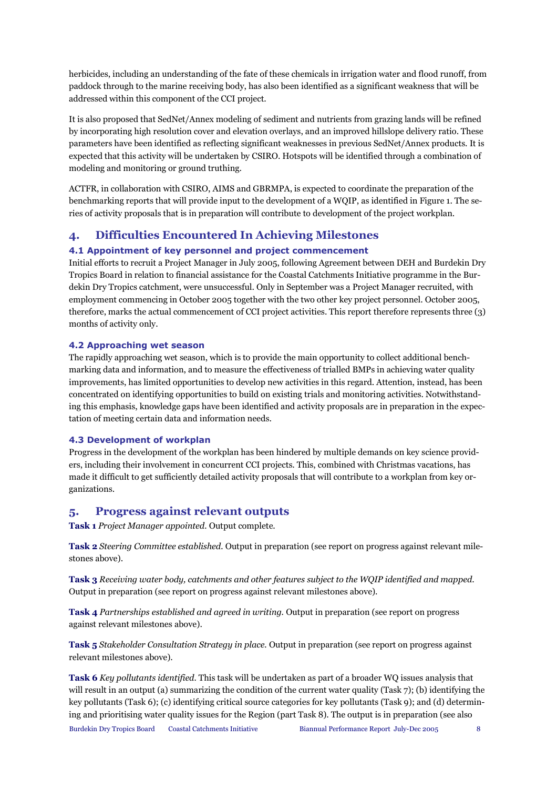herbicides, including an understanding of the fate of these chemicals in irrigation water and flood runoff, from paddock through to the marine receiving body, has also been identified as a significant weakness that will be addressed within this component of the CCI project.

It is also proposed that SedNet/Annex modeling of sediment and nutrients from grazing lands will be refined by incorporating high resolution cover and elevation overlays, and an improved hillslope delivery ratio. These parameters have been identified as reflecting significant weaknesses in previous SedNet/Annex products. It is expected that this activity will be undertaken by CSIRO. Hotspots will be identified through a combination of modeling and monitoring or ground truthing.

ACTFR, in collaboration with CSIRO, AIMS and GBRMPA, is expected to coordinate the preparation of the benchmarking reports that will provide input to the development of a WQIP, as identified in Figure 1. The series of activity proposals that is in preparation will contribute to development of the project workplan.

# 4. Difficulties Encountered In Achieving Milestones

#### 4.1 Appointment of key personnel and project commencement

Initial efforts to recruit a Project Manager in July 2005, following Agreement between DEH and Burdekin Dry Tropics Board in relation to financial assistance for the Coastal Catchments Initiative programme in the Burdekin Dry Tropics catchment, were unsuccessful. Only in September was a Project Manager recruited, with employment commencing in October 2005 together with the two other key project personnel. October 2005, therefore, marks the actual commencement of CCI project activities. This report therefore represents three (3) months of activity only.

#### 4.2 Approaching wet season

The rapidly approaching wet season, which is to provide the main opportunity to collect additional benchmarking data and information, and to measure the effectiveness of trialled BMPs in achieving water quality improvements, has limited opportunities to develop new activities in this regard. Attention, instead, has been concentrated on identifying opportunities to build on existing trials and monitoring activities. Notwithstanding this emphasis, knowledge gaps have been identified and activity proposals are in preparation in the expectation of meeting certain data and information needs.

#### 4.3 Development of workplan

Progress in the development of the workplan has been hindered by multiple demands on key science providers, including their involvement in concurrent CCI projects. This, combined with Christmas vacations, has made it difficult to get sufficiently detailed activity proposals that will contribute to a workplan from key organizations.

## 5. Progress against relevant outputs

Task 1 Project Manager appointed. Output complete.

Task 2 Steering Committee established. Output in preparation (see report on progress against relevant milestones above).

Task 3 Receiving water body, catchments and other features subject to the WQIP identified and mapped. Output in preparation (see report on progress against relevant milestones above).

Task 4 Partnerships established and agreed in writing. Output in preparation (see report on progress against relevant milestones above).

Task 5 Stakeholder Consultation Strategy in place. Output in preparation (see report on progress against relevant milestones above).

Task 6 Key pollutants identified. This task will be undertaken as part of a broader WQ issues analysis that will result in an output (a) summarizing the condition of the current water quality (Task 7); (b) identifying the key pollutants (Task 6); (c) identifying critical source categories for key pollutants (Task 9); and (d) determining and prioritising water quality issues for the Region (part Task 8). The output is in preparation (see also